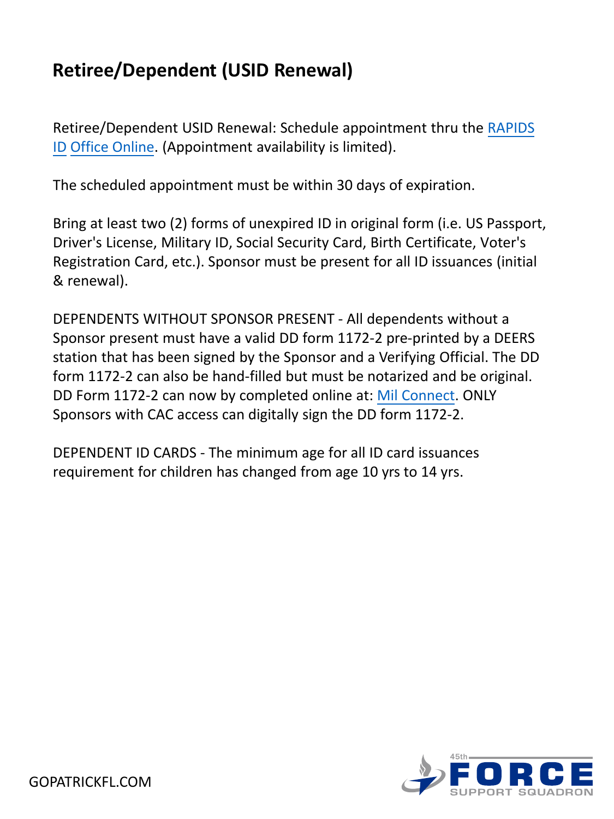# **Retiree/Dependent (USID Renewal)**

[Retiree/Dependent USID Renewal: Schedule appointment thru the](https://idco.dmdc.osd.mil/idco/locator) RAPIDS ID Office Online. (Appointment availability is limited).

The scheduled appointment must be within 30 days of expiration.

Bring at least two (2) forms of unexpired ID in original form (i.e. US Passport, Driver's License, Military ID, Social Security Card, Birth Certificate, Voter's Registration Card, etc.). Sponsor must be present for all ID issuances (initial & renewal).

DEPENDENTS WITHOUT SPONSOR PRESENT - All dependents without a Sponsor present must have a valid DD form 1172-2 pre-printed by a DEERS station that has been signed by the Sponsor and a Verifying Official. The DD form 1172-2 can also be hand-filled but must be notarized and be original. DD Form 1172-2 can now by completed online at: [Mil Connect](https://www.dmdc.osd.mil/milconnect). ONLY Sponsors with CAC access can digitally sign the DD form 1172-2.

DEPENDENT ID CARDS - The minimum age for all ID card issuances requirement for children has changed from age 10 yrs to 14 yrs.

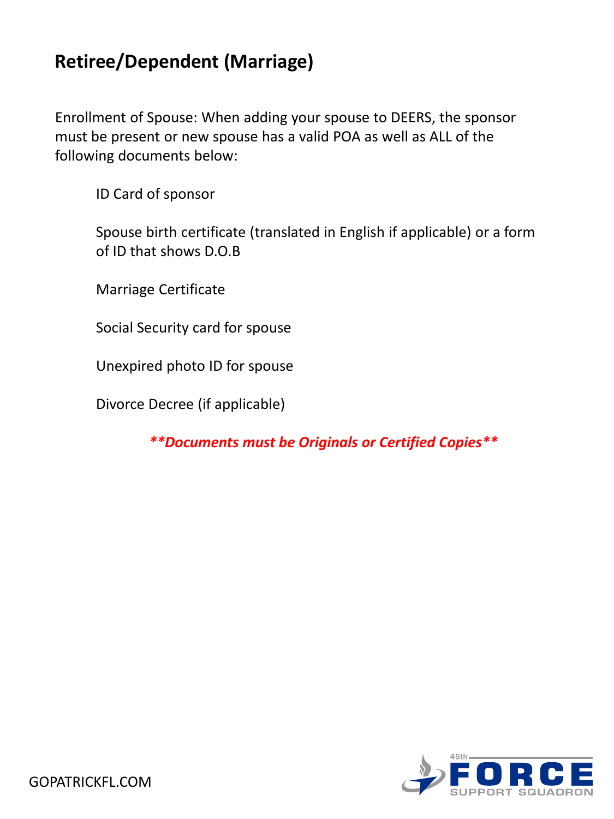#### **Retiree/Dependent (Marriage)**

Enrollment of Spouse: When adding your spouse to DEERS, the sponsor must be present or new spouse has a valid POA as well as ALL of the following documents below:

ID Card of sponsor

Spouse birth certificate (translated in English if applicable) or a form of ID that shows D.O.B

Marriage Certificate

Social Security card for spouse

Unexpired photo ID for spouse

Divorce Decree (if applicable)

*\*\*Documents must be Originals or Certified Copies\*\**

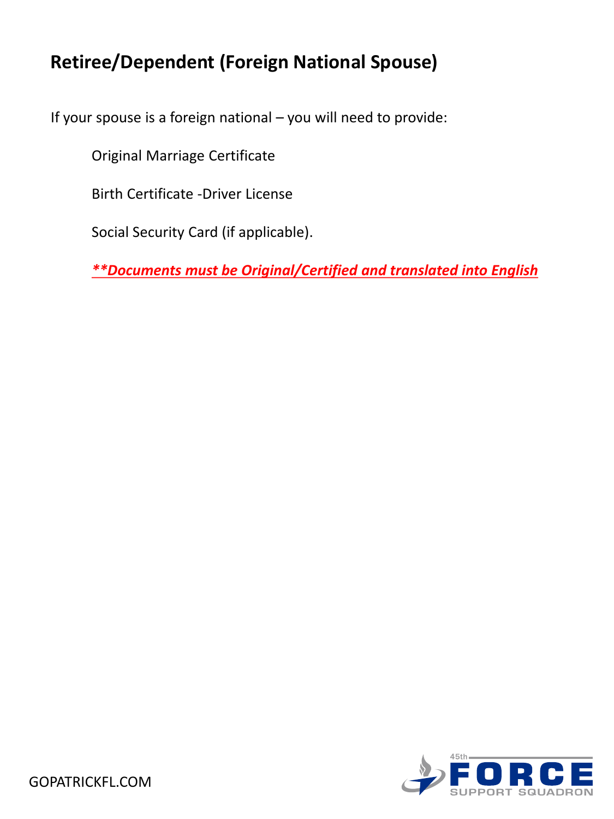### **Retiree/Dependent (Foreign National Spouse)**

If your spouse is a foreign national – you will need to provide:

Original Marriage Certificate

Birth Certificate -Driver License

Social Security Card (if applicable).

*\*\*Documents must be Original/Certified and translated into English*

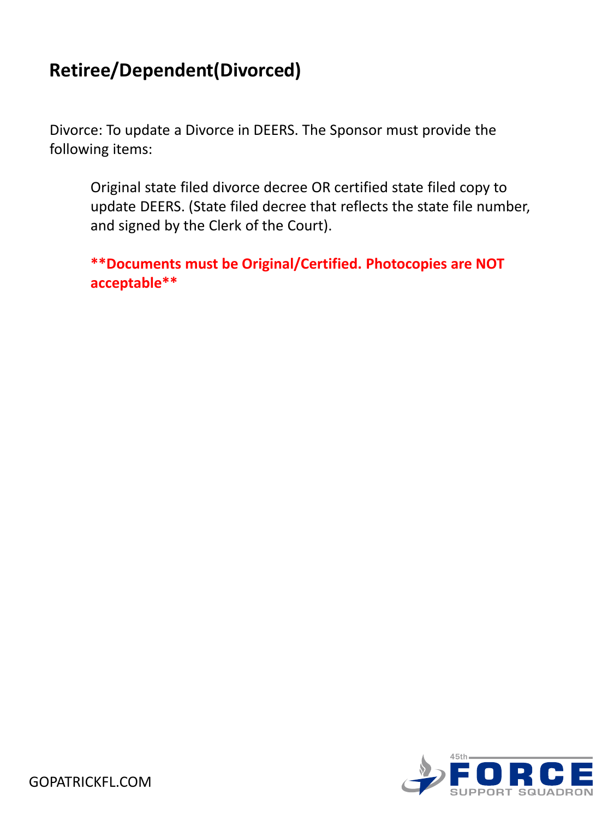### **Retiree/Dependent(Divorced)**

Divorce: To update a Divorce in DEERS. The Sponsor must provide the following items:

Original state filed divorce decree OR certified state filed copy to update DEERS. (State filed decree that reflects the state file number, and signed by the Clerk of the Court).

**\*\*Documents must be Original/Certified. Photocopies are NOT acceptable\*\***